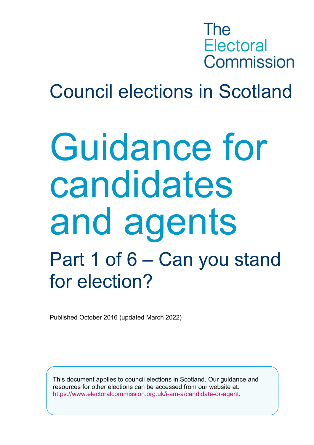## The **Electoral** Commission

## Council elections in Scotland

# Guidance for candidates and agents Part 1 of 6 – Can you stand for election?

Published October 2016 (updated March 2022)

This document applies to council elections in Scotland. Our guidance and resources for other elections can be accessed from our website at: [https://www.electoralcommission.org.uk/i-am-a/candidate-or-agent.](https://www.electoralcommission.org.uk/i-am-a/candidate-or-agent)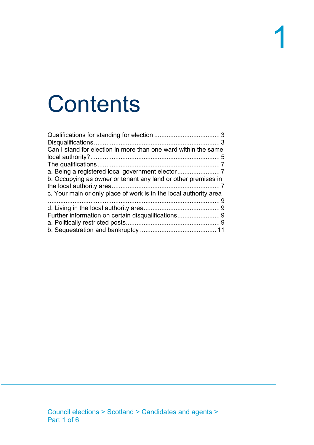# **Contents**

| Can I stand for election in more than one ward within the same    |  |
|-------------------------------------------------------------------|--|
|                                                                   |  |
| b. Occupying as owner or tenant any land or other premises in     |  |
| c. Your main or only place of work is in the local authority area |  |
|                                                                   |  |
|                                                                   |  |
|                                                                   |  |
|                                                                   |  |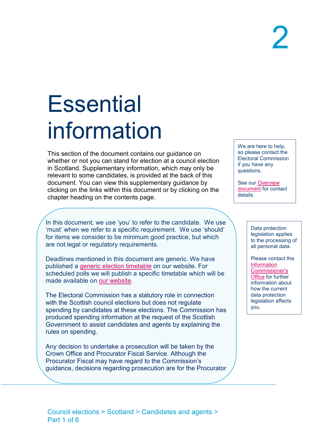# **Essential** information

This section of the document contains our guidance on whether or not you can stand for election at a council election in Scotland. Supplementary information, which may only be relevant to some candidates, is provided at the back of this document. You can view this supplementary guidance by clicking on the links within this document or by clicking on the chapter heading on the contents page.

In this document, we use 'you' to refer to the candidate. We use 'must' when we refer to a specific requirement. We use 'should' for items we consider to be minimum good practice, but which are not legal or regulatory requirements.

Deadlines mentioned in this document are generic. We have published a [generic election timetable](https://www.electoralcommission.org.uk/media/7382) on our website. For scheduled polls we will publish a specific timetable which will be made available on [our website.](https://www.electoralcommission.org.uk/media/348)

The Electoral Commission has a statutory role in connection with the Scottish council elections but does not regulate spending by candidates at these elections. The Commission has produced spending information at the request of the Scottish Government to assist candidates and agents by explaining the rules on spending.

Any decision to undertake a prosecution will be taken by the Crown Office and Procurator Fiscal Service. Although the Procurator Fiscal may have regard to the Commission's guidance, decisions regarding prosecution are for the Procurator We are here to help, so please contact the Electoral Commission if you have any questions.

See our [Overview](https://www.electoralcommission.org.uk/media/300)  [document](https://www.electoralcommission.org.uk/media/300) for contact details.

> Data protection legislation applies to the processing of all personal data.

Please contact the **Information** [Commissioner's](https://ico.org.uk/for-organisations/guide-to-the-general-data-protection-regulation-gdpr/)  [Office](https://ico.org.uk/for-organisations/guide-to-the-general-data-protection-regulation-gdpr/) for further information about how the current data protection legislation affects you.

Council elections > Scotland > Candidates and agents > Part 1 of 6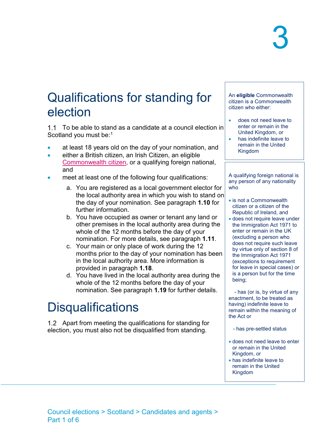### <span id="page-3-0"></span>Qualifications for standing for election

1.1 To be able to stand as a candidate at a council election in Scotland you must be:[1](#page-12-0)

- at least 18 years old on the day of your nomination, and
- either a British citizen, an Irish Citizen, an eligible [Commonwealth citizen,](http://www.electoralcommission.org.uk/__data/assets/word_doc/0010/141796/List-of-Commonwealth-countries-generic.doc) or a qualifying foreign national, and
- meet at least one of the following four qualifications:
	- a. You are registered as a local government elector for the local authority area in which you wish to stand on the day of your nomination. See paragraph **[1.10](#page-7-3)** for further information.
	- b. You have occupied as owner or tenant any land or other premises in the local authority area during the whole of the 12 months before the day of your nomination. For more details, see paragraph **[1.11](#page-7-4)**.
	- c. Your main or only place of work during the 12 months prior to the day of your nomination has been in the local authority area. More information is provided in paragraph **[1.18](#page-9-4)**.
	- d. You have lived in the local authority area during the whole of the 12 months before the day of your nomination. See paragraph **[1.19](#page-9-5)** for further details.

### <span id="page-3-1"></span>**Disqualifications**

1.2 Apart from meeting the qualifications for standing for election, you must also not be disqualified from standing.

An **eligible** Commonwealth citizen is a Commonwealth citizen who either:

- does not need leave to enter or remain in the United Kingdom, or
- has indefinite leave to remain in the United Kingdom

A qualifying foreign national is any person of any nationality who

- is not a Commonwealth citizen or a citizen of the Republic of Ireland, and
- does not require leave under the Immigration Act 1971 to enter or remain in the UK (excluding a person who does not require such leave by virtue only of section 8 of the Immigration Act 1971 (exceptions to requirement for leave in special cases) or is a person but for the time being;

 - has (or is, by virtue of any enactment, to be treated as having) indefinite leave to remain within the meaning of the Act or

- has pre-settled status
- does not need leave to enter or remain in the United Kingdom, or
- has indefinite leave to remain in the United Kingdom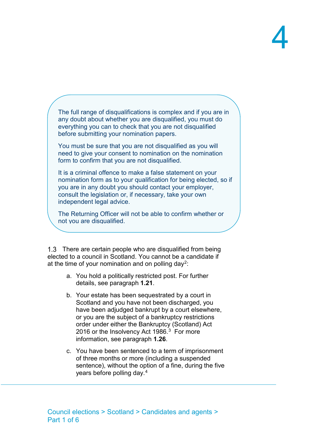The full range of disqualifications is complex and if you are in any doubt about whether you are disqualified, you must do everything you can to check that you are not disqualified before submitting your nomination papers.

You must be sure that you are not disqualified as you will need to give your consent to nomination on the nomination form to confirm that you are not disqualified.

It is a criminal offence to make a false statement on your nomination form as to your qualification for being elected, so if you are in any doubt you should contact your employer, consult the legislation or, if necessary, take your own independent legal advice.

The Returning Officer will not be able to confirm whether or not you are disqualified.

1.3 There are certain people who are disqualified from being elected to a council in Scotland. You cannot be a candidate if at the time of your nomination and on polling day<sup>2</sup>:

- a. You hold a politically restricted post. For further details, see paragraph **[1.21](#page-9-6)**.
- b. Your estate has been sequestrated by a court in Scotland and you have not been discharged, you have been adjudged bankrupt by a court elsewhere, or you are the subject of a bankruptcy restrictions order under either the Bankruptcy (Scotland) Act 2016 or the Insolvency Act 1986.<sup>3</sup> For more information, see paragraph **[1.26](#page-11-1)**.
- c. You have been sentenced to a term of imprisonment of three months or more (including a suspended sentence), without the option of a fine, during the five years before polling day.[4](#page-12-3)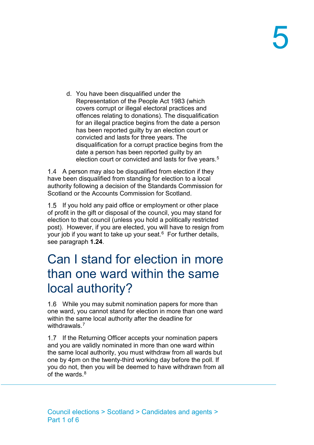d. You have been disqualified under the Representation of the People Act 1983 (which covers corrupt or illegal electoral practices and offences relating to donations). The disqualification for an illegal practice begins from the date a person has been reported guilty by an election court or convicted and lasts for three years. The disqualification for a corrupt practice begins from the date a person has been reported guilty by an election court or convicted and lasts for five years. [5](#page-12-4)

1.4 A person may also be disqualified from election if they have been disqualified from standing for election to a local authority following a decision of the Standards Commission for Scotland or the Accounts Commission for Scotland.

1.5 If you hold any paid office or employment or other place of profit in the gift or disposal of the council, you may stand for election to that council (unless you hold a politically restricted post). However, if you are elected, you will have to resign from your job if you want to take up your seat. $6$  For further details, see paragraph **[1.24](#page-10-0)**.

### <span id="page-5-0"></span>Can I stand for election in more than one ward within the same local authority?

While you may submit nomination papers for more than one ward, you cannot stand for election in more than one ward within the same local authority after the deadline for withdrawals.<sup>[7](#page-12-6)</sup>

1.7 If the Returning Officer accepts your nomination papers and you are validly nominated in more than one ward within the same local authority, you must withdraw from all wards but one by 4pm on the twenty-third working day before the poll. If you do not, then you will be deemed to have withdrawn from all of the wards  $8$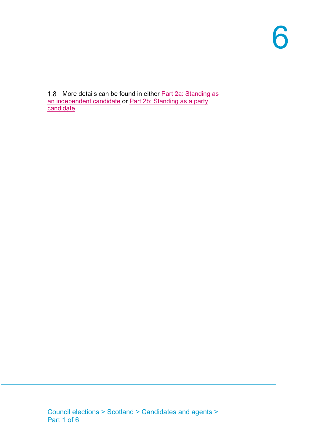1.8 More details can be found in either Part 2a: Standing as [an independent candidate](https://www.electoralcommission.org.uk/media/325) or [Part 2b: Standing as a party](https://www.electoralcommission.org.uk/media/1683)  **candidate**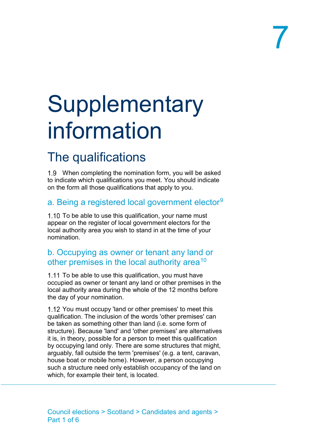# **Supplementary** information

## <span id="page-7-0"></span>The qualifications

When completing the nomination form, you will be asked to indicate which qualifications you meet. You should indicate on the form all those qualifications that apply to you.

#### <span id="page-7-1"></span>a. Being a registered local government elector<sup>[9](#page-12-8)</sup>

<span id="page-7-3"></span>1.10 To be able to use this qualification, your name must appear on the register of local government electors for the local authority area you wish to stand in at the time of your nomination.

#### <span id="page-7-2"></span>b. Occupying as owner or tenant any land or other premises in the local authority area<sup>[10](#page-12-9)</sup>

<span id="page-7-4"></span>1.11 To be able to use this qualification, you must have occupied as owner or tenant any land or other premises in the local authority area during the whole of the 12 months before the day of your nomination.

1.12 You must occupy 'land or other premises' to meet this qualification. The inclusion of the words 'other premises' can be taken as something other than land (i.e. some form of structure). Because 'land' and 'other premises' are alternatives it is, in theory, possible for a person to meet this qualification by occupying land only. There are some structures that might, arguably, fall outside the term 'premises' (e.g. a tent, caravan, house boat or mobile home). However, a person occupying such a structure need only establish occupancy of the land on which, for example their tent, is located.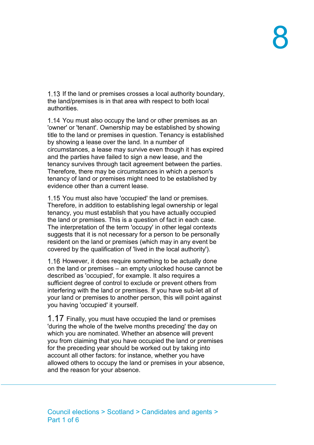1.13 If the land or premises crosses a local authority boundary, the land/premises is in that area with respect to both local authorities.

1.14 You must also occupy the land or other premises as an 'owner' or 'tenant'. Ownership may be established by showing title to the land or premises in question. Tenancy is established by showing a lease over the land. In a number of circumstances, a lease may survive even though it has expired and the parties have failed to sign a new lease, and the tenancy survives through tacit agreement between the parties. Therefore, there may be circumstances in which a person's tenancy of land or premises might need to be established by evidence other than a current lease.

1.15 You must also have 'occupied' the land or premises. Therefore, in addition to establishing legal ownership or legal tenancy, you must establish that you have actually occupied the land or premises. This is a question of fact in each case. The interpretation of the term 'occupy' in other legal contexts suggests that it is not necessary for a person to be personally resident on the land or premises (which may in any event be covered by the qualification of 'lived in the local authority').

1.16 However, it does require something to be actually done on the land or premises – an empty unlocked house cannot be described as 'occupied', for example. It also requires a sufficient degree of control to exclude or prevent others from interfering with the land or premises. If you have sub-let all of your land or premises to another person, this will point against you having 'occupied' it yourself.

 $1.17$  Finally, you must have occupied the land or premises 'during the whole of the twelve months preceding' the day on which you are nominated. Whether an absence will prevent you from claiming that you have occupied the land or premises for the preceding year should be worked out by taking into account all other factors: for instance, whether you have allowed others to occupy the land or premises in your absence, and the reason for your absence.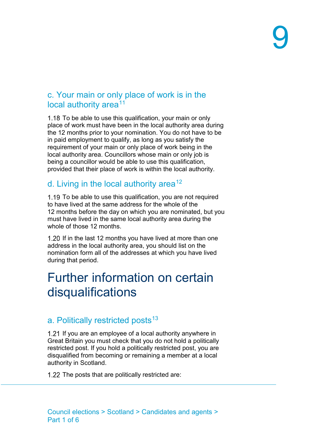#### <span id="page-9-0"></span>c. Your main or only place of work is in the local authority area<sup>[11](#page-12-10)</sup>

<span id="page-9-4"></span>1.18 To be able to use this qualification, your main or only place of work must have been in the local authority area during the 12 months prior to your nomination. You do not have to be in paid employment to qualify, as long as you satisfy the requirement of your main or only place of work being in the local authority area. Councillors whose main or only job is being a councillor would be able to use this qualification, provided that their place of work is within the local authority.

#### <span id="page-9-1"></span>d. Living in the local authority area<sup>[12](#page-12-11)</sup>

<span id="page-9-5"></span>1.19 To be able to use this qualification, you are not required to have lived at the same address for the whole of the 12 months before the day on which you are nominated, but you must have lived in the same local authority area during the whole of those 12 months.

1.20 If in the last 12 months you have lived at more than one address in the local authority area, you should list on the nomination form all of the addresses at which you have lived during that period.

### <span id="page-9-2"></span>Further information on certain disqualifications

#### <span id="page-9-3"></span>a. Politically restricted posts<sup>[13](#page-12-12)</sup>

<span id="page-9-6"></span>1.21 If you are an employee of a local authority anywhere in Great Britain you must check that you do not hold a politically restricted post. If you hold a politically restricted post, you are disqualified from becoming or remaining a member at a local authority in Scotland.

1.22 The posts that are politically restricted are: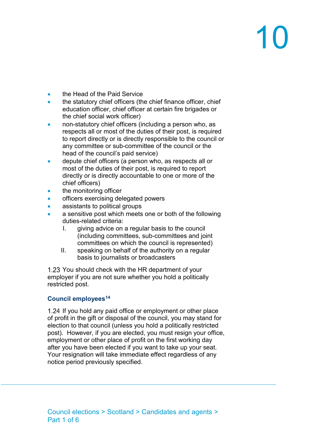# 10

- the Head of the Paid Service
- the statutory chief officers (the chief finance officer, chief education officer, chief officer at certain fire brigades or the chief social work officer)
- non-statutory chief officers (including a person who, as respects all or most of the duties of their post, is required to report directly or is directly responsible to the council or any committee or sub-committee of the council or the head of the council's paid service)
- depute chief officers (a person who, as respects all or most of the duties of their post, is required to report directly or is directly accountable to one or more of the chief officers)
- the monitoring officer
- officers exercising delegated powers
- assistants to political groups
- a sensitive post which meets one or both of the following duties-related criteria:
	- I. giving advice on a regular basis to the council (including committees, sub-committees and joint committees on which the council is represented)
	- II. speaking on behalf of the authority on a regular basis to journalists or broadcasters

1.23 You should check with the HR department of your employer if you are not sure whether you hold a politically restricted post.

#### **Council employees[14](#page-12-13)**

<span id="page-10-0"></span>1.24 If you hold any paid office or employment or other place of profit in the gift or disposal of the council, you may stand for election to that council (unless you hold a politically restricted post). However, if you are elected, you must resign your office, employment or other place of profit on the first working day after you have been elected if you want to take up your seat. Your resignation will take immediate effect regardless of any notice period previously specified.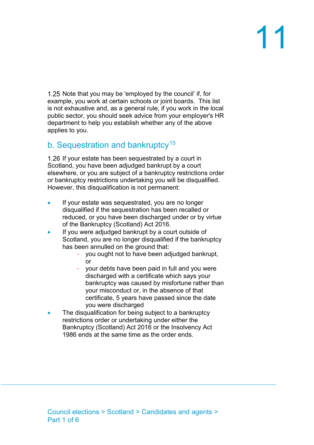# 11

1.25 Note that you may be 'employed by the council' if, for example, you work at certain schools or joint boards. This list is not exhaustive and, as a general rule, if you work in the local public sector, you should seek advice from your employer's HR department to help you establish whether any of the above applies to you.

#### <span id="page-11-0"></span>b. Sequestration and bankruptcy<sup>[15](#page-12-14)</sup>

<span id="page-11-1"></span>1.26 If your estate has been sequestrated by a court in Scotland, you have been adjudged bankrupt by a court elsewhere, or you are subject of a bankruptcy restrictions order or bankruptcy restrictions undertaking you will be disqualified. However, this disqualification is not permanent:

- If your estate was sequestrated, you are no longer disqualified if the sequestration has been recalled or reduced, or you have been discharged under or by virtue of the Bankruptcy (Scotland) Act 2016.
- If you were adjudged bankrupt by a court outside of Scotland, you are no longer disqualified if the bankruptcy has been annulled on the ground that:
	- you ought not to have been adjudged bankrupt, or
	- your debts have been paid in full and you were discharged with a certificate which says your bankruptcy was caused by misfortune rather than your misconduct or, in the absence of that certificate, 5 years have passed since the date you were discharged
- The disqualification for being subject to a bankruptcy restrictions order or undertaking under either the Bankruptcy (Scotland) Act 2016 or the Insolvency Act 1986 ends at the same time as the order ends.